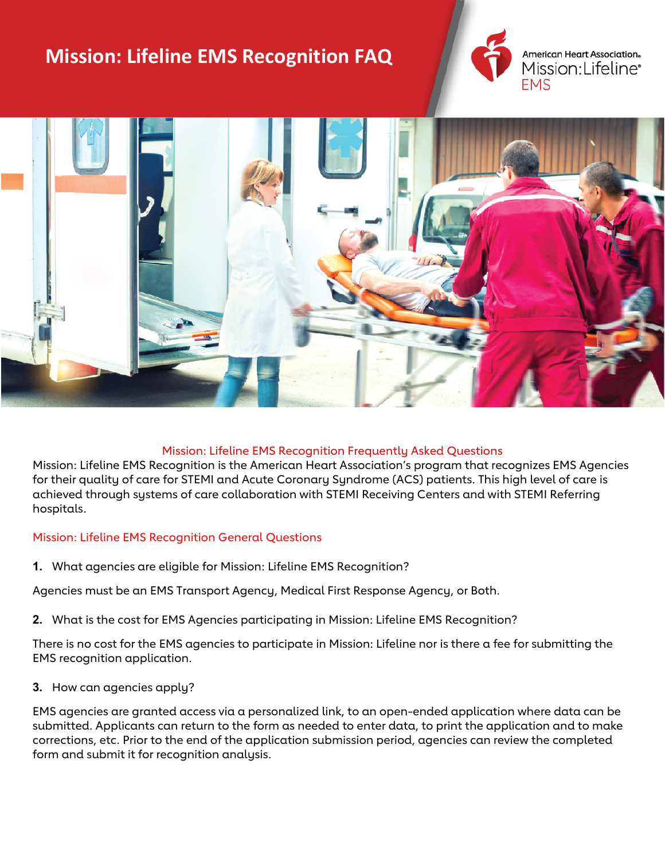# **Mission: Lifeline EMS Recognition FAQ**



American Heart Association. Mission:Lifeline\* **FMS** 



## Mission: Lifeline EMS Recognition Frequently Asked Questions

Mission: Lifeline EMS Recognition is the American Heart Association's program that recognizes EMS Agencies for their quality of care for STEMI and Acute Coronary Syndrome (ACS) patients. This high level of care is achieved through systems of care collaboration with STEMI Receiving Centers and with STEMI Referring hospitals.

## Mission: Lifeline EMS Recognition General Questions

**1.** What agencies are eligible for Mission: Lifeline EMS Recognition?

Agencies must be an EMS Transport Agency, Medical First Response Agency, or Both.

**2.** What is the cost for EMS Agencies participating in Mission: Lifeline EMS Recognition?

There is no cost for the EMS agencies to participate in Mission: Lifeline nor is there a fee for submitting the EMS recognition application.

**3.** How can agencies apply?

EMS agencies are granted access via a personalized link, to an open-ended application where data can be submitted. Applicants can return to the form as needed to enter data, to print the application and to make corrections, etc. Prior to the end of the application submission period, agencies can review the completed form and submit it for recognition analysis.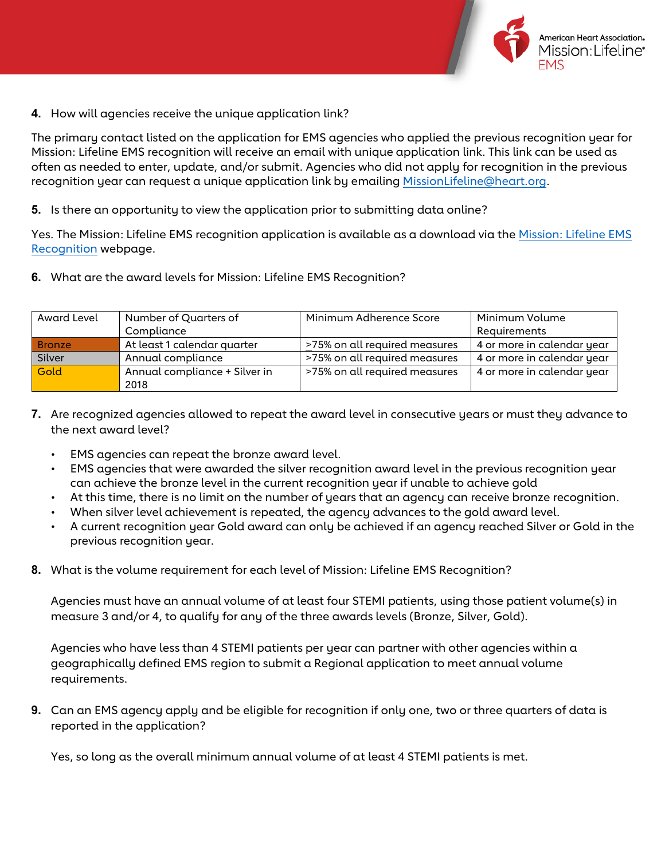

**4.** How will agencies receive the unique application link?

The primary contact listed on the application for EMS agencies who applied the previous recognition year for Mission: Lifeline EMS recognition will receive an email with unique application link. This link can be used as often as needed to enter, update, and/or submit. Agencies who did not apply for recognition in the previous recognition year can request a unique application link by emailing [MissionLifeline@heart.org.](mailto:MissionLifeline@heart.org)

**5.** Is there an opportunity to view the application prior to submitting data online?

Yes. The Mission: Lifeline EMS recognition application is available as a download via th[e Mission: Lifeline EMS](https://www.heart.org/en/professional/quality-improvement/mission-lifeline/mission-lifeline-ems-recognition)  [Recognition](https://www.heart.org/en/professional/quality-improvement/mission-lifeline/mission-lifeline-ems-recognition) webpage.

**6.** What are the award levels for Mission: Lifeline EMS Recognition?

| Award Level | Number of Quarters of         | Minimum Adherence Score       | Minimum Volume             |
|-------------|-------------------------------|-------------------------------|----------------------------|
|             | Compliance                    |                               | Requirements               |
| Bronze      | At least 1 calendar quarter   | >75% on all required measures | 4 or more in calendar year |
| Silver      | Annual compliance             | >75% on all required measures | 4 or more in calendar year |
| Gold        | Annual compliance + Silver in | >75% on all required measures | 4 or more in calendar year |
|             | 2018                          |                               |                            |

- **7.** Are recognized agencies allowed to repeat the award level in consecutive years or must they advance to the next award level?
	- EMS agencies can repeat the bronze award level.
	- EMS agencies that were awarded the silver recognition award level in the previous recognition year can achieve the bronze level in the current recognition year if unable to achieve gold
	- At this time, there is no limit on the number of years that an agency can receive bronze recognition.
	- When silver level achievement is repeated, the agency advances to the gold award level.
	- A current recognition year Gold award can only be achieved if an agency reached Silver or Gold in the previous recognition year.
- **8.** What is the volume requirement for each level of Mission: Lifeline EMS Recognition?

Agencies must have an annual volume of at least four STEMI patients, using those patient volume(s) in measure 3 and/or 4, to qualify for any of the three awards levels (Bronze, Silver, Gold).

Agencies who have less than 4 STEMI patients per year can partner with other agencies within a geographically defined EMS region to submit a Regional application to meet annual volume requirements.

**9.** Can an EMS agency apply and be eligible for recognition if only one, two or three quarters of data is reported in the application?

Yes, so long as the overall minimum annual volume of at least 4 STEMI patients is met.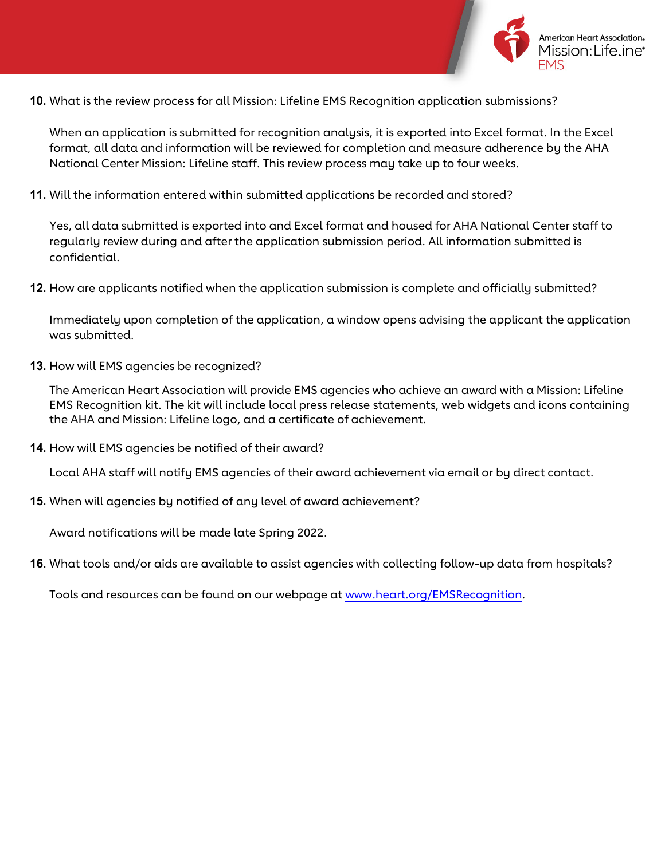

**10.** What is the review process for all Mission: Lifeline EMS Recognition application submissions?

When an application is submitted for recognition analysis, it is exported into Excel format. In the Excel format, all data and information will be reviewed for completion and measure adherence by the AHA National Center Mission: Lifeline staff. This review process may take up to four weeks.

**11.** Will the information entered within submitted applications be recorded and stored?

Yes, all data submitted is exported into and Excel format and housed for AHA National Center staff to regularly review during and after the application submission period. All information submitted is confidential.

**12.** How are applicants notified when the application submission is complete and officially submitted?

Immediately upon completion of the application, a window opens advising the applicant the application was submitted.

**13.** How will EMS agencies be recognized?

The American Heart Association will provide EMS agencies who achieve an award with a Mission: Lifeline EMS Recognition kit. The kit will include local press release statements, web widgets and icons containing the AHA and Mission: Lifeline logo, and a certificate of achievement.

**14.** How will EMS agencies be notified of their award?

Local AHA staff will notify EMS agencies of their award achievement via email or by direct contact.

**15.** When will agencies by notified of any level of award achievement?

Award notifications will be made late Spring 2022.

**16.** What tools and/or aids are available to assist agencies with collecting follow-up data from hospitals?

Tools and resources can be found on our webpage at [www.heart.org/EMSRecognition.](http://www.heart.org/EMSRecognition)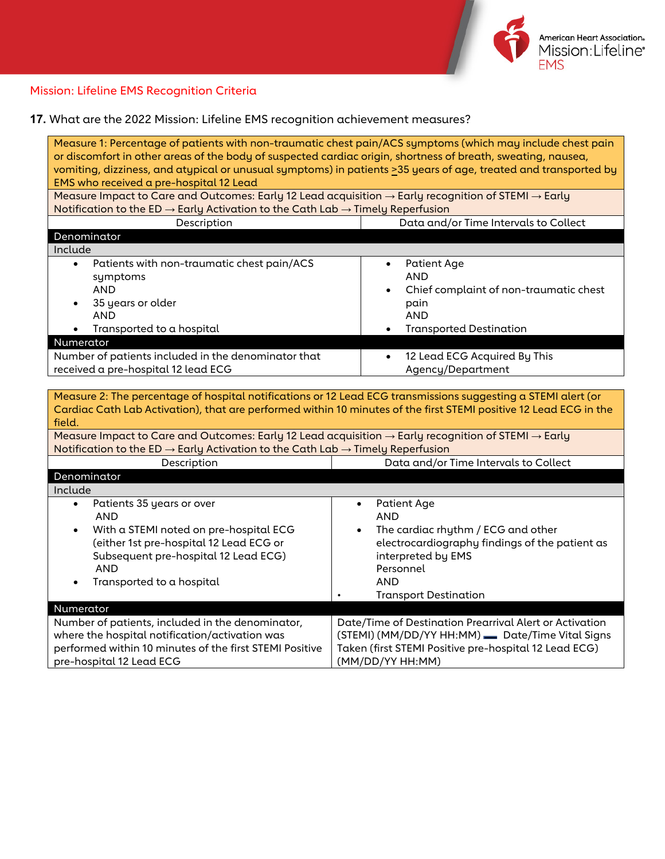

# Mission: Lifeline EMS Recognition Criteria

**17.** What are the 2022 Mission: Lifeline EMS recognition achievement measures?

| Measure 1: Percentage of patients with non-traumatic chest pain/ACS symptoms (which may include chest pain<br>or discomfort in other areas of the body of suspected cardiac origin, shortness of breath, sweating, nausea,<br>vomiting, dizziness, and atypical or unusual symptoms) in patients >35 years of age, treated and transported by<br>EMS who received a pre-hospital 12 Lead                                                                                              |                                                                                                                                                                                          |  |  |  |
|---------------------------------------------------------------------------------------------------------------------------------------------------------------------------------------------------------------------------------------------------------------------------------------------------------------------------------------------------------------------------------------------------------------------------------------------------------------------------------------|------------------------------------------------------------------------------------------------------------------------------------------------------------------------------------------|--|--|--|
| Measure Impact to Care and Outcomes: Early 12 Lead acquisition $\rightarrow$ Early recognition of STEMI $\rightarrow$ Early                                                                                                                                                                                                                                                                                                                                                           |                                                                                                                                                                                          |  |  |  |
| Notification to the ED $\rightarrow$ Early Activation to the Cath Lab $\rightarrow$ Timely Reperfusion                                                                                                                                                                                                                                                                                                                                                                                |                                                                                                                                                                                          |  |  |  |
| Description                                                                                                                                                                                                                                                                                                                                                                                                                                                                           | Data and/or Time Intervals to Collect                                                                                                                                                    |  |  |  |
| Denominator                                                                                                                                                                                                                                                                                                                                                                                                                                                                           |                                                                                                                                                                                          |  |  |  |
| Include                                                                                                                                                                                                                                                                                                                                                                                                                                                                               |                                                                                                                                                                                          |  |  |  |
| Patients with non-traumatic chest pain/ACS<br>$\bullet$                                                                                                                                                                                                                                                                                                                                                                                                                               | <b>Patient Age</b>                                                                                                                                                                       |  |  |  |
| symptoms                                                                                                                                                                                                                                                                                                                                                                                                                                                                              | <b>AND</b>                                                                                                                                                                               |  |  |  |
| <b>AND</b>                                                                                                                                                                                                                                                                                                                                                                                                                                                                            | Chief complaint of non-traumatic chest                                                                                                                                                   |  |  |  |
| 35 years or older                                                                                                                                                                                                                                                                                                                                                                                                                                                                     | pain                                                                                                                                                                                     |  |  |  |
| <b>AND</b>                                                                                                                                                                                                                                                                                                                                                                                                                                                                            | <b>AND</b>                                                                                                                                                                               |  |  |  |
| Transported to a hospital<br>$\bullet$                                                                                                                                                                                                                                                                                                                                                                                                                                                | <b>Transported Destination</b>                                                                                                                                                           |  |  |  |
| Numerator                                                                                                                                                                                                                                                                                                                                                                                                                                                                             |                                                                                                                                                                                          |  |  |  |
| Number of patients included in the denominator that                                                                                                                                                                                                                                                                                                                                                                                                                                   | 12 Lead ECG Acquired By This<br>$\bullet$                                                                                                                                                |  |  |  |
| received a pre-hospital 12 lead ECG                                                                                                                                                                                                                                                                                                                                                                                                                                                   | Agency/Department                                                                                                                                                                        |  |  |  |
| Measure 2: The percentage of hospital notifications or 12 Lead ECG transmissions suggesting a STEMI alert (or<br>Cardiac Cath Lab Activation), that are performed within 10 minutes of the first STEMI positive 12 Lead ECG in the<br>field.<br>Measure Impact to Care and Outcomes: Early 12 Lead acquisition $\rightarrow$ Early recognition of STEMI $\rightarrow$ Early<br>Notification to the ED $\rightarrow$ Early Activation to the Cath Lab $\rightarrow$ Timely Reperfusion |                                                                                                                                                                                          |  |  |  |
| Description                                                                                                                                                                                                                                                                                                                                                                                                                                                                           | Data and/or Time Intervals to Collect                                                                                                                                                    |  |  |  |
| Denominator                                                                                                                                                                                                                                                                                                                                                                                                                                                                           |                                                                                                                                                                                          |  |  |  |
| Include                                                                                                                                                                                                                                                                                                                                                                                                                                                                               |                                                                                                                                                                                          |  |  |  |
| Patients 35 years or over<br>$\bullet$<br><b>AND</b>                                                                                                                                                                                                                                                                                                                                                                                                                                  | <b>Patient Age</b><br>$\bullet$<br><b>AND</b>                                                                                                                                            |  |  |  |
| With a STEMI noted on pre-hospital ECG<br>$\bullet$<br>(either 1st pre-hospital 12 Lead ECG or<br>Subsequent pre-hospital 12 Lead ECG)<br><b>AND</b><br>Transported to a hospital                                                                                                                                                                                                                                                                                                     | The cardiac rhythm / ECG and other<br>electrocardiography findings of the patient as<br>interpreted by EMS<br>Personnel<br><b>AND</b><br><b>Transport Destination</b>                    |  |  |  |
| Numerator                                                                                                                                                                                                                                                                                                                                                                                                                                                                             |                                                                                                                                                                                          |  |  |  |
| Number of patients, included in the denominator,<br>where the hospital notification/activation was<br>performed within 10 minutes of the first STEMI Positive<br>pre-hospital 12 Lead ECG                                                                                                                                                                                                                                                                                             | Date/Time of Destination Prearrival Alert or Activation<br>(STEMI) (MM/DD/YY HH:MM) - Date/Time Vital Signs<br>Taken (first STEMI Positive pre-hospital 12 Lead ECG)<br>(MM/DD/YY HH:MM) |  |  |  |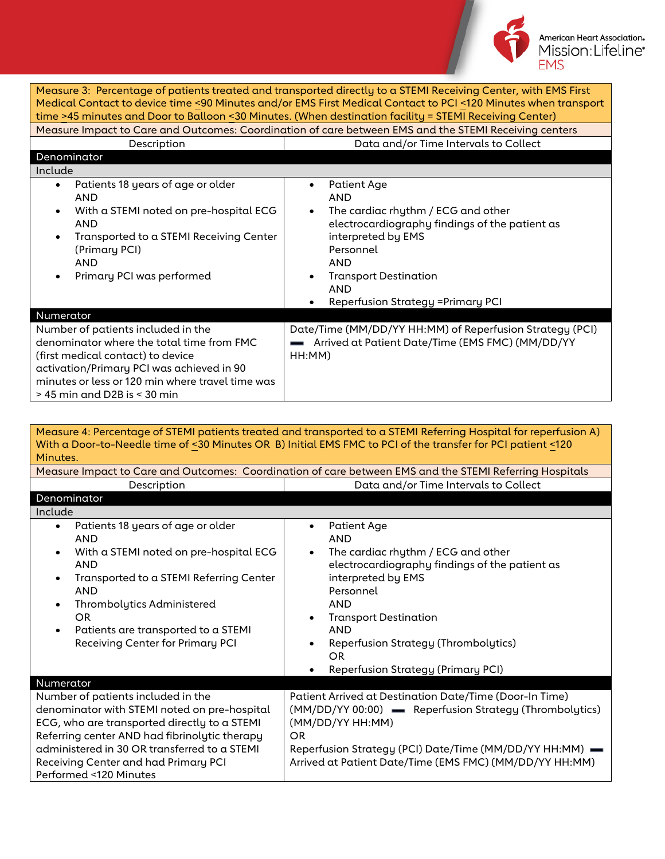

| Measure 3: Percentage of patients treated and transported directly to a STEMI Receiving Center, with EMS First<br>Medical Contact to device time <90 Minutes and/or EMS First Medical Contact to PCI <120 Minutes when transport<br>time >45 minutes and Door to Balloon <30 Minutes. (When destination facility = STEMI Receiving Center)<br>Measure Impact to Care and Outcomes: Coordination of care between EMS and the STEMI Receiving centers<br>Data and/or Time Intervals to Collect<br>Description |                                                                                                                                                                                                                                                                           |  |
|-------------------------------------------------------------------------------------------------------------------------------------------------------------------------------------------------------------------------------------------------------------------------------------------------------------------------------------------------------------------------------------------------------------------------------------------------------------------------------------------------------------|---------------------------------------------------------------------------------------------------------------------------------------------------------------------------------------------------------------------------------------------------------------------------|--|
| Denominator                                                                                                                                                                                                                                                                                                                                                                                                                                                                                                 |                                                                                                                                                                                                                                                                           |  |
| Include                                                                                                                                                                                                                                                                                                                                                                                                                                                                                                     |                                                                                                                                                                                                                                                                           |  |
| Patients 18 years of age or older<br>$\bullet$<br><b>AND</b><br>With a STEMI noted on pre-hospital ECG<br>$\bullet$<br>AND<br>Transported to a STEMI Receiving Center<br>$\bullet$<br>(Primary PCI)<br><b>AND</b><br>Primary PCI was performed<br>$\bullet$                                                                                                                                                                                                                                                 | <b>Patient Age</b><br>٠<br><b>AND</b><br>The cardiac rhythm / ECG and other<br>electrocardiography findings of the patient as<br>interpreted by EMS<br>Personnel<br><b>AND</b><br><b>Transport Destination</b><br><b>AND</b><br><b>Reperfusion Strategy = Primary PCI</b> |  |
| Numerator                                                                                                                                                                                                                                                                                                                                                                                                                                                                                                   |                                                                                                                                                                                                                                                                           |  |
| Number of patients included in the<br>denominator where the total time from FMC<br>(first medical contact) to device<br>activation/Primary PCI was achieved in 90<br>minutes or less or 120 min where travel time was<br>$>$ 45 min and D2B is $<$ 30 min                                                                                                                                                                                                                                                   | Date/Time (MM/DD/YY HH:MM) of Reperfusion Strategy (PCI)<br>Arrived at Patient Date/Time (EMS FMC) (MM/DD/YY<br>HH:MM)                                                                                                                                                    |  |

| Measure 4: Percentage of STEMI patients treated and transported to a STEMI Referring Hospital for reperfusion A)<br>With a Door-to-Needle time of <30 Minutes OR B) Initial EMS FMC to PCI of the transfer for PCI patient <120<br>Minutes.                                                                                                             |                                                                                                                                                                                                                                                                                                                                                    |  |  |  |
|---------------------------------------------------------------------------------------------------------------------------------------------------------------------------------------------------------------------------------------------------------------------------------------------------------------------------------------------------------|----------------------------------------------------------------------------------------------------------------------------------------------------------------------------------------------------------------------------------------------------------------------------------------------------------------------------------------------------|--|--|--|
| Measure Impact to Care and Outcomes: Coordination of care between EMS and the STEMI Referring Hospitals                                                                                                                                                                                                                                                 |                                                                                                                                                                                                                                                                                                                                                    |  |  |  |
| Description                                                                                                                                                                                                                                                                                                                                             | Data and/or Time Intervals to Collect                                                                                                                                                                                                                                                                                                              |  |  |  |
| Denominator                                                                                                                                                                                                                                                                                                                                             |                                                                                                                                                                                                                                                                                                                                                    |  |  |  |
| Include                                                                                                                                                                                                                                                                                                                                                 |                                                                                                                                                                                                                                                                                                                                                    |  |  |  |
| Patients 18 years of age or older<br>$\bullet$<br><b>AND</b><br>With a STEMI noted on pre-hospital ECG<br>$\bullet$<br><b>AND</b><br>Transported to a STEMI Referring Center<br>$\bullet$<br><b>AND</b><br>Thrombolytics Administered<br>$\bullet$<br><b>OR</b><br>Patients are transported to a STEMI<br>$\bullet$<br>Receiving Center for Primary PCI | <b>Patient Age</b><br>٠<br><b>AND</b><br>The cardiac rhythm / ECG and other<br>$\bullet$<br>electrocardiography findings of the patient as<br>interpreted by EMS<br>Personnel<br><b>AND</b><br><b>Transport Destination</b><br><b>AND</b><br><b>Reperfusion Strategy (Thrombolytics)</b><br><b>OR</b><br><b>Reperfusion Strategy (Primary PCI)</b> |  |  |  |
| Numerator                                                                                                                                                                                                                                                                                                                                               |                                                                                                                                                                                                                                                                                                                                                    |  |  |  |
| Number of patients included in the<br>denominator with STEMI noted on pre-hospital<br>ECG, who are transported directly to a STEMI<br>Referring center AND had fibrinolytic therapy<br>administered in 30 OR transferred to a STEMI<br>Receiving Center and had Primary PCI<br>Performed <120 Minutes                                                   | Patient Arrived at Destination Date/Time (Door-In Time)<br>(MM/DD/YY 00:00) - Reperfusion Strategy (Thrombolytics)<br>(MM/DD/YY HH:MM)<br><b>OR</b><br>Reperfusion Strategy (PCI) Date/Time (MM/DD/YY HH:MM) -<br>Arrived at Patient Date/Time (EMS FMC) (MM/DD/YY HH:MM)                                                                          |  |  |  |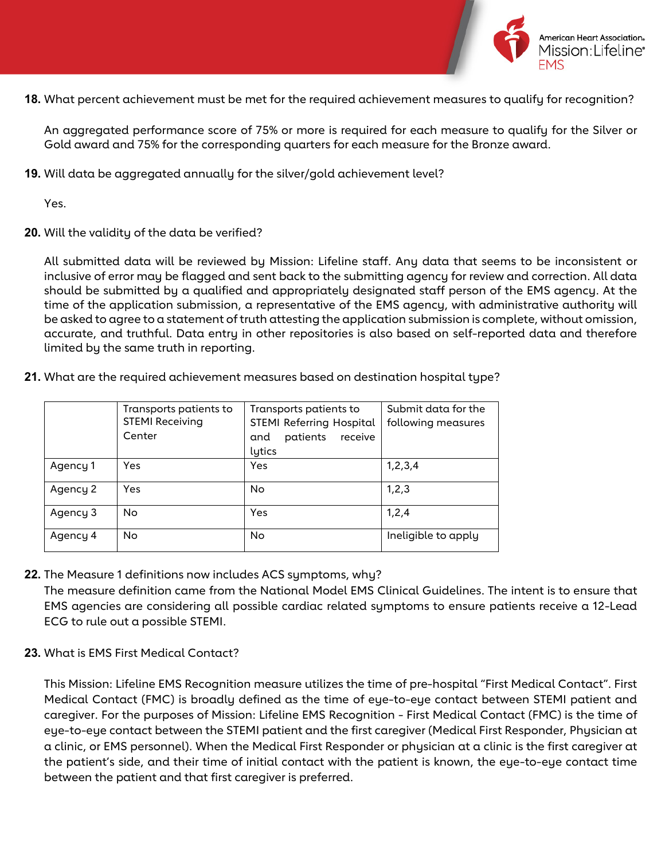

**18.** What percent achievement must be met for the required achievement measures to qualify for recognition?

An aggregated performance score of 75% or more is required for each measure to qualify for the Silver or Gold award and 75% for the corresponding quarters for each measure for the Bronze award.

**19.** Will data be aggregated annually for the silver/gold achievement level?

Yes.

**20.** Will the validity of the data be verified?

All submitted data will be reviewed by Mission: Lifeline staff. Any data that seems to be inconsistent or inclusive of error may be flagged and sent back to the submitting agency for review and correction. All data should be submitted by a qualified and appropriately designated staff person of the EMS agency. At the time of the application submission, a representative of the EMS agency, with administrative authority will be asked to agree to a statement of truth attesting the application submission is complete, without omission, accurate, and truthful. Data entry in other repositories is also based on self-reported data and therefore limited by the same truth in reporting.

**21.** What are the required achievement measures based on destination hospital type?

|          | Transports patients to<br><b>STEMI Receiving</b><br>Center | Transports patients to<br><b>STEMI Referring Hospital</b><br>patients<br>receive<br>and<br>lytics | Submit data for the<br>following measures |
|----------|------------------------------------------------------------|---------------------------------------------------------------------------------------------------|-------------------------------------------|
| Agency 1 | Yes                                                        | Yes                                                                                               | 1, 2, 3, 4                                |
| Agency 2 | Yes                                                        | No                                                                                                | 1,2,3                                     |
| Agency 3 | No                                                         | Yes                                                                                               | 1,2,4                                     |
| Agency 4 | <b>No</b>                                                  | No                                                                                                | Ineligible to apply                       |

**22.** The Measure 1 definitions now includes ACS symptoms, why?

The measure definition came from the National Model EMS Clinical Guidelines. The intent is to ensure that EMS agencies are considering all possible cardiac related symptoms to ensure patients receive a 12-Lead ECG to rule out a possible STEMI.

**23.** What is EMS First Medical Contact?

This Mission: Lifeline EMS Recognition measure utilizes the time of pre-hospital "First Medical Contact". First Medical Contact (FMC) is broadly defined as the time of eye-to-eye contact between STEMI patient and caregiver. For the purposes of Mission: Lifeline EMS Recognition - First Medical Contact (FMC) is the time of eye-to-eye contact between the STEMI patient and the first caregiver (Medical First Responder, Physician at a clinic, or EMS personnel). When the Medical First Responder or physician at a clinic is the first caregiver at the patient's side, and their time of initial contact with the patient is known, the eye-to-eye contact time between the patient and that first caregiver is preferred.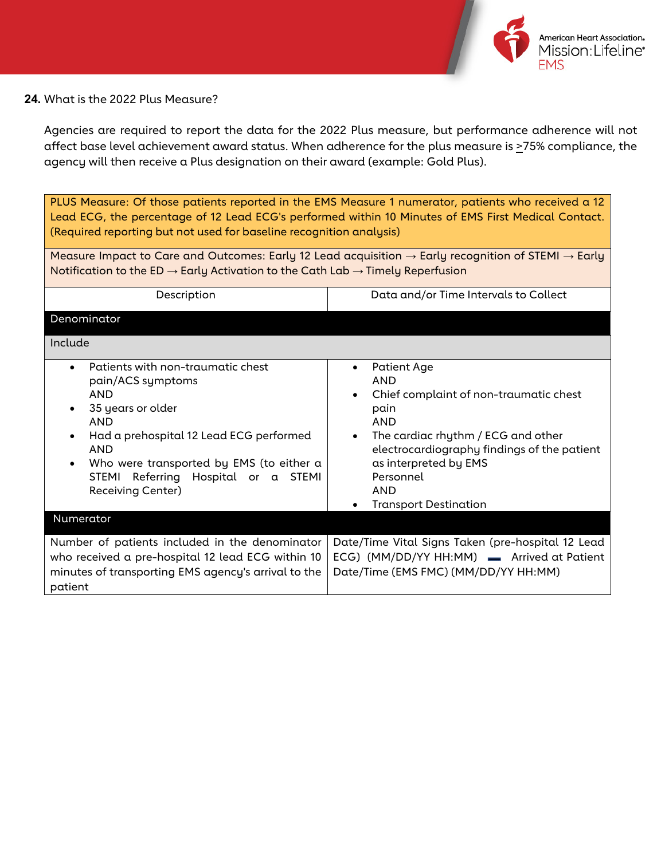

#### **24.** What is the 2022 Plus Measure?

Agencies are required to report the data for the 2022 Plus measure, but performance adherence will not affect base level achievement award status. When adherence for the plus measure is >75% compliance, the agency will then receive a Plus designation on their award (example: Gold Plus).

PLUS Measure: Of those patients reported in the EMS Measure 1 numerator, patients who received a 12 Lead ECG, the percentage of 12 Lead ECG's performed within 10 Minutes of EMS First Medical Contact. (Required reporting but not used for baseline recognition analysis)

Measure Impact to Care and Outcomes: Early 12 Lead acquisition **→** Early recognition of STEMI **→** Early Notification to the ED **→** Early Activation to the Cath Lab **→** Timely Reperfusion

| Description                                                                                                                                                                                                                                                                                                               | Data and/or Time Intervals to Collect                                                                                                                                                                                                                                    |
|---------------------------------------------------------------------------------------------------------------------------------------------------------------------------------------------------------------------------------------------------------------------------------------------------------------------------|--------------------------------------------------------------------------------------------------------------------------------------------------------------------------------------------------------------------------------------------------------------------------|
| Denominator                                                                                                                                                                                                                                                                                                               |                                                                                                                                                                                                                                                                          |
| Include                                                                                                                                                                                                                                                                                                                   |                                                                                                                                                                                                                                                                          |
| Patients with non-traumatic chest<br>$\bullet$<br>pain/ACS symptoms<br><b>AND</b><br>35 years or older<br>$\bullet$<br><b>AND</b><br>Had a prehospital 12 Lead ECG performed<br>$\bullet$<br><b>AND</b><br>Who were transported by EMS (to either a<br>STEMI<br>Referring Hospital or a STEMI<br><b>Receiving Center)</b> | Patient Age<br>$\bullet$<br><b>AND</b><br>Chief complaint of non-traumatic chest<br>pain<br><b>AND</b><br>The cardiac rhythm / ECG and other<br>electrocardiography findings of the patient<br>as interpreted by EMS<br>Personnel<br>AND<br><b>Transport Destination</b> |
| Numerator                                                                                                                                                                                                                                                                                                                 |                                                                                                                                                                                                                                                                          |
| Number of patients included in the denominator<br>who received a pre-hospital 12 lead ECG within 10<br>minutes of transporting EMS agency's arrival to the<br>patient                                                                                                                                                     | Date/Time Vital Signs Taken (pre-hospital 12 Lead<br>ECG) (MM/DD/YY HH:MM) - Arrived at Patient<br>Date/Time (EMS FMC) (MM/DD/YY HH:MM)                                                                                                                                  |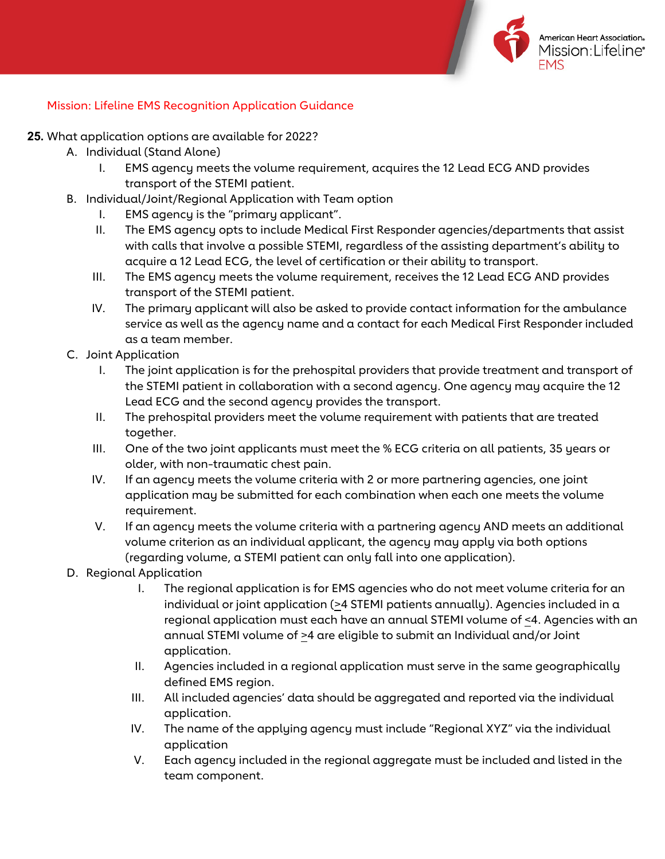

## Mission: Lifeline EMS Recognition Application Guidance

- **25.** What application options are available for 2022?
	- A. Individual (Stand Alone)
		- I. EMS agency meets the volume requirement, acquires the 12 Lead ECG AND provides transport of the STEMI patient.
	- B. Individual/Joint/Regional Application with Team option
		- I. EMS agency is the "primary applicant".
		- II. The EMS agency opts to include Medical First Responder agencies/departments that assist with calls that involve a possible STEMI, regardless of the assisting department's ability to acquire a 12 Lead ECG, the level of certification or their ability to transport.
		- III. The EMS agency meets the volume requirement, receives the 12 Lead ECG AND provides transport of the STEMI patient.
		- IV. The primary applicant will also be asked to provide contact information for the ambulance service as well as the agency name and a contact for each Medical First Responder included as a team member.
	- C. Joint Application
		- I. The joint application is for the prehospital providers that provide treatment and transport of the STEMI patient in collaboration with a second agency. One agency may acquire the 12 Lead ECG and the second agency provides the transport.
		- II. The prehospital providers meet the volume requirement with patients that are treated together.
		- III. One of the two joint applicants must meet the % ECG criteria on all patients, 35 years or older, with non-traumatic chest pain.
		- IV. If an agency meets the volume criteria with 2 or more partnering agencies, one joint application may be submitted for each combination when each one meets the volume requirement.
		- V. If an agency meets the volume criteria with a partnering agency AND meets an additional volume criterion as an individual applicant, the agency may apply via both options (regarding volume, a STEMI patient can only fall into one application).
	- D. Regional Application
		- I. The regional application is for EMS agencies who do not meet volume criteria for an individual or joint application (>4 STEMI patients annually). Agencies included in a regional application must each have an annual STEMI volume of <4. Agencies with an annual STEMI volume of  $\geq 4$  are eligible to submit an Individual and/or Joint application.
		- II. Agencies included in a regional application must serve in the same geographically defined EMS region.
		- III. All included agencies' data should be aggregated and reported via the individual application.
		- IV. The name of the applying agency must include "Regional XYZ" via the individual application
		- V. Each agency included in the regional aggregate must be included and listed in the team component.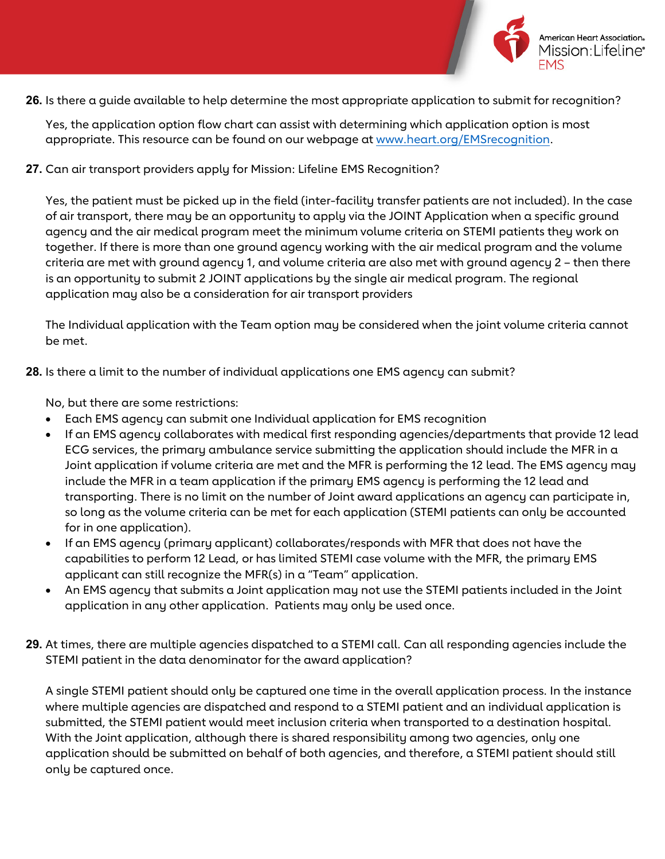

American Heart Association. Mission:Lifeline\*

**26.** Is there a guide available to help determine the most appropriate application to submit for recognition?

Yes, the application option flow chart can assist with determining which application option is most appropriate. This resource can be found on our webpage at [www.heart.org/EMSrecognition.](http://www.heart.org/EMSrecognition)

**27.** Can air transport providers apply for Mission: Lifeline EMS Recognition?

Yes, the patient must be picked up in the field (inter-facility transfer patients are not included). In the case of air transport, there may be an opportunity to apply via the JOINT Application when a specific ground agency and the air medical program meet the minimum volume criteria on STEMI patients they work on together. If there is more than one ground agency working with the air medical program and the volume criteria are met with ground agency 1, and volume criteria are also met with ground agency 2 – then there is an opportunity to submit 2 JOINT applications by the single air medical program. The regional application may also be a consideration for air transport providers

The Individual application with the Team option may be considered when the joint volume criteria cannot be met.

**28.** Is there a limit to the number of individual applications one EMS agency can submit?

No, but there are some restrictions:

- Each EMS agency can submit one Individual application for EMS recognition
- If an EMS agency collaborates with medical first responding agencies/departments that provide 12 lead ECG services, the primary ambulance service submitting the application should include the MFR in a Joint application if volume criteria are met and the MFR is performing the 12 lead. The EMS agency may include the MFR in a team application if the primary EMS agency is performing the 12 lead and transporting. There is no limit on the number of Joint award applications an agency can participate in, so long as the volume criteria can be met for each application (STEMI patients can only be accounted for in one application).
- If an EMS agency (primary applicant) collaborates/responds with MFR that does not have the capabilities to perform 12 Lead, or has limited STEMI case volume with the MFR, the primary EMS applicant can still recognize the MFR(s) in a "Team" application.
- An EMS agency that submits a Joint application may not use the STEMI patients included in the Joint application in any other application. Patients may only be used once.
- **29.** At times, there are multiple agencies dispatched to a STEMI call. Can all responding agencies include the STEMI patient in the data denominator for the award application?

A single STEMI patient should only be captured one time in the overall application process. In the instance where multiple agencies are dispatched and respond to a STEMI patient and an individual application is submitted, the STEMI patient would meet inclusion criteria when transported to a destination hospital. With the Joint application, although there is shared responsibility among two agencies, only one application should be submitted on behalf of both agencies, and therefore, a STEMI patient should still only be captured once.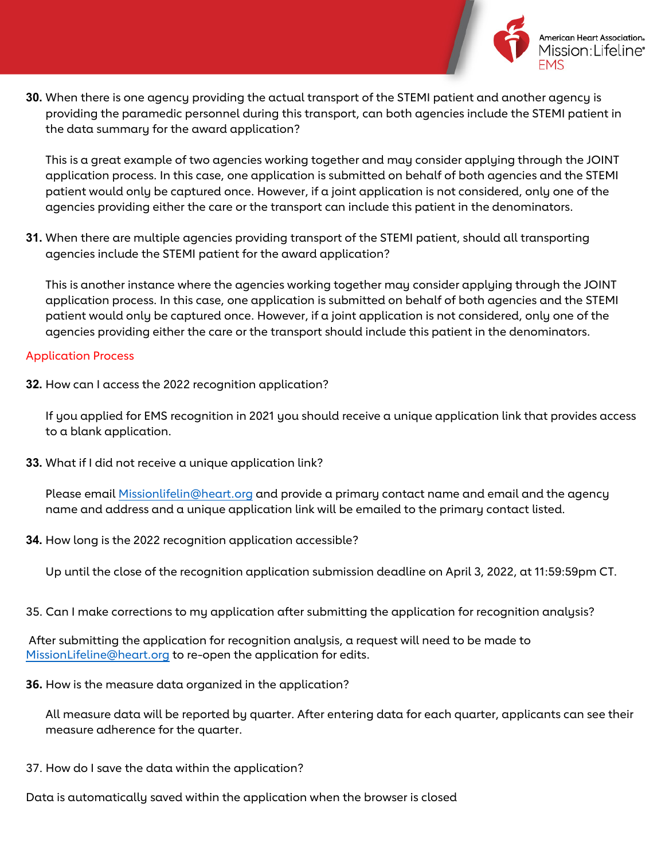

American Heart Association. Mission I ifeline\*

**30.** When there is one agency providing the actual transport of the STEMI patient and another agency is providing the paramedic personnel during this transport, can both agencies include the STEMI patient in the data summary for the award application?

This is a great example of two agencies working together and may consider applying through the JOINT application process. In this case, one application is submitted on behalf of both agencies and the STEMI patient would only be captured once. However, if a joint application is not considered, only one of the agencies providing either the care or the transport can include this patient in the denominators.

**31.** When there are multiple agencies providing transport of the STEMI patient, should all transporting agencies include the STEMI patient for the award application?

This is another instance where the agencies working together may consider applying through the JOINT application process. In this case, one application is submitted on behalf of both agencies and the STEMI patient would only be captured once. However, if a joint application is not considered, only one of the agencies providing either the care or the transport should include this patient in the denominators.

## Application Process

**32.** How can I access the 2022 recognition application?

If you applied for EMS recognition in 2021 you should receive a unique application link that provides access to a blank application.

**33.** What if I did not receive a unique application link?

Please email [Missionlifelin@heart.org](mailto:Missionlifelin@heart.org) and provide a primary contact name and email and the agency name and address and a unique application link will be emailed to the primary contact listed.

**34.** How long is the 2022 recognition application accessible?

Up until the close of the recognition application submission deadline on April 3, 2022, at 11:59:59pm CT.

35. Can I make corrections to my application after submitting the application for recognition analysis?

After submitting the application for recognition analysis, a request will need to be made to [MissionLifeline@heart.org](mailto:MissionLifeline@heart.org) to re-open the application for edits.

**36.** How is the measure data organized in the application?

All measure data will be reported by quarter. After entering data for each quarter, applicants can see their measure adherence for the quarter.

- 37. How do I save the data within the application?
- Data is automatically saved within the application when the browser is closed